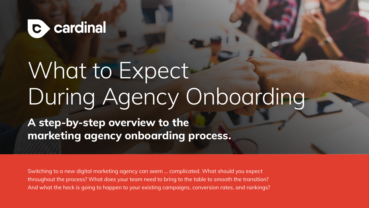

# What to Expect During Agency Onboarding

**A step-by-step overview to the marketing agency onboarding process.** 

Switching to a new digital marketing agency can seem … complicated. What should you expect throughout the process? What does your team need to bring to the table to smooth the transition? And what the heck is going to happen to your existing campaigns, conversion rates, and rankings?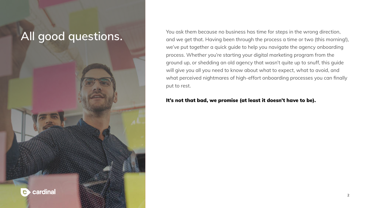## **All good questions.**

cardinal

 $\mathbf C$ 

You ask them because no business has time for steps in the wrong direction, and we get that. Having been through the process a time or two (this morning!), we've put together a quick guide to help you navigate the agency onboarding process. Whether you're starting your digital marketing program from the ground up, or shedding an old agency that wasn't quite up to snuff, this guide will give you all you need to know about what to expect, what to avoid, and what perceived nightmares of high-effort onboarding processes you can finally put to rest.

### It's not that bad, we promise (at least it doesn't have to be).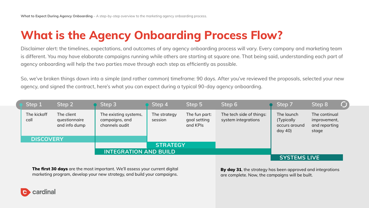## **What is the Agency Onboarding Process Flow?**

Disclaimer alert: the timelines, expectations, and outcomes of any agency onboarding process will vary. Every company and marketing team is different. You may have elaborate campaigns running while others are starting at square one. That being said, understanding each part of agency onboarding will help the two parties move through each step as efficiently as possible.

So, we've broken things down into a simple (and rather common) timeframe: 90 days. After you've reviewed the proposals, selected your new agency, and signed the contract, here's what you can expect during a typical 90-day agency onboarding.

| Step 1              | Step 2                                       | Step 3                                                    | Step 4                  | Step 5                                    | Step 6                                          | Step 7                                              | Step 8                                                  | $C_{\text{J}}$ |
|---------------------|----------------------------------------------|-----------------------------------------------------------|-------------------------|-------------------------------------------|-------------------------------------------------|-----------------------------------------------------|---------------------------------------------------------|----------------|
| The kickoff<br>call | The client<br>questionnaire<br>and info dump | The existing systems,<br>campaigns, and<br>channels audit | The strategy<br>session | The fun part:<br>goal setting<br>and KPIs | The tech side of things:<br>system integrations | The launch<br>(Typically<br>occurs around<br>day 40 | The continual<br>improvement,<br>and reporting<br>stage |                |
|                     | <b>DISCOVERY</b>                             |                                                           |                         |                                           |                                                 |                                                     |                                                         |                |
|                     |                                              |                                                           | <b>STRATEGY</b>         |                                           |                                                 |                                                     |                                                         |                |
|                     |                                              | <b>INTEGRATION AND BUILD</b>                              |                         |                                           |                                                 |                                                     |                                                         |                |
|                     |                                              |                                                           |                         |                                           |                                                 | <b>SYSTEMS LIVE</b>                                 |                                                         |                |

**The first 30 days** are the most important. We'll assess your current digital marketing program, develop your new strategy, and build your campaigns.

By day 31, the strategy has been approved and integrations are complete. Now, the campaigns will be built.

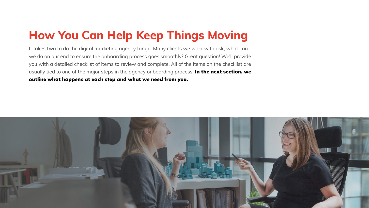## **How You Can Help Keep Things Moving**

It takes two to do the digital marketing agency tango. Many clients we work with ask, what can we do on our end to ensure the onboarding process goes smoothly? Great question! We'll provide you with a detailed checklist of items to review and complete. All of the items on the checklist are usually tied to one of the major steps in the agency onboarding process. In the next section, we outline what happens at each step and what we need from you.

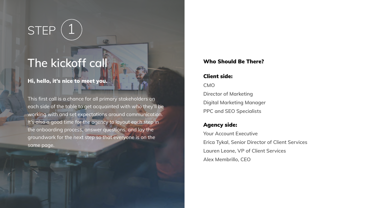## STEP

## The kickoff call **The kickoff** call Who Should Be There?

### Hi, hello, it's nice to meet you.

This first call is a chance for all primary stakeholders on each side of the table to get acquainted with who they'll be working with and set expectations around communication. It's also a good time for the agency to layout each step in the onboarding process, answer questions, and lay the groundwork for the next step so that everyone is on the same page.

### Client side:

**CMO Director of Marketing Digital Marketing Manager PPC and SEO Specialists**

### Agency side:

**Your Account Executive Erica Tykal, Senior Director of Client Services Lauren Leone, VP of Client Services Alex Membrillo, CEO**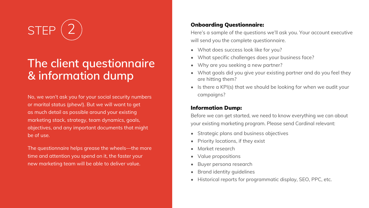**STEP** 

## **The client questionnaire & information dump**

No, we won't ask you for your social security numbers or marital status (phew!). But we will want to get as much detail as possible around your existing marketing stack, strategy, team dynamics, goals, objectives, and any important documents that might be of use.

The questionnaire helps grease the wheels—the more time and attention you spend on it, the faster your new marketing team will be able to deliver value.

### Onboarding Questionnaire:

Here's a sample of the questions we'll ask you. Your account executive will send you the complete questionnaire.

- What does success look like for you?
- What specific challenges does your business face?
- Why are you seeking a new partner?
- What goals did you give your existing partner and do you feel they are hitting them?
- Is there a KPI(s) that we should be looking for when we audit your campaigns?

### Information Dump:

Before we can get started, we need to know everything we can about your existing marketing program. Please send Cardinal relevant:

- Strategic plans and business objectives
- Priority locations, if they exist
- Market research
- Value propositions
- Buyer persona research
- Brand identity guidelines
- Historical reports for programmatic display, SEO, PPC, etc.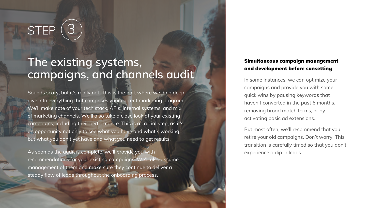## **STEP**

### **The existing systems, campaigns, and channels audit**

Sounds scary, but it's really not. This is the part where we do a deep dive into everything that comprises your current marketing program. We'll make note of your tech stack, APIs, internal systems, and mix of marketing channels. We'll also take a close look at your existing campaigns, including their performance. This is a crucial step, as it's an opportunity not only to see what you have and what's working, but what you don't yet have and what you need to get results.

As soon as the audit is complete, we'll provide you with recommendations for your existing campaigns. We'll also assume management of them and make sure they continue to deliver a steady flow of leads throughout the onboarding process.

### Simultaneous campaign management and development before sunsetting

In some instances, we can optimize your campaigns and provide you with some quick wins by pausing keywords that haven't converted in the past 6 months, removing broad match terms, or by activating basic ad extensions.

But most often, we'll recommend that you retire your old campaigns. Don't worry. This transition is carefully timed so that you don't experience a dip in leads.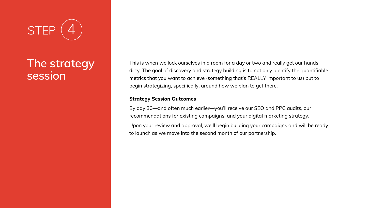

## **The strategy session**

This is when we lock ourselves in a room for a day or two and really get our hands dirty. The goal of discovery and strategy building is to not only identify the quantifiable metrics that you want to achieve (something that's REALLY important to us) but to begin strategizing, specifically, around how we plan to get there.

### **Strategy Session Outcomes**

By day 30—and often much earlier—you'll receive our SEO and PPC audits, our recommendations for existing campaigns, and your digital marketing strategy. Upon your review and approval, we'll begin building your campaigns and will be ready to launch as we move into the second month of our partnership.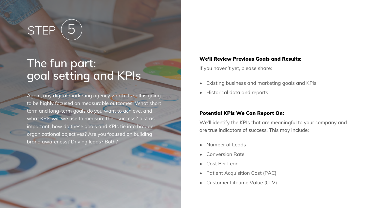## $STEP(5)$

## **The fun part: goal setting and KPIs**

Again, any digital marketing agency worth its salt is going to be highly focused on measurable outcomes. What short term and long-term goals do you want to achieve, and what KPIs will we use to measure their success? Just as important, how do these goals and KPIs tie into broader organizational objectives? Are you focused on building brand awareness? Driving leads? Both?

### We'll Review Previous Goals and Results:

If you haven't yet, please share:

- Existing business and marketing goals and KPIs
- Historical data and reports

#### Potential KPIs We Can Report On:

We'll identify the KPIs that are meaningful to your company and are true indicators of success. This may include:

- Number of Leads
- Conversion Rate
- Cost Per Lead
- Patient Acquisition Cost (PAC)
- Customer Lifetime Value (CLV)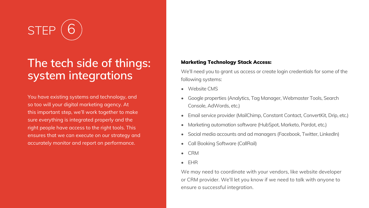**STE** 

## **The tech side of things: system integrations**

You have existing systems and technology, and so too will your digital marketing agency. At this important step, we'll work together to make sure everything is integrated properly and the right people have access to the right tools. This ensures that we can execute on our strategy and accurately monitor and report on performance.

### Marketing Technology Stack Access:

We'll need you to grant us access or create login credentials for some of the following systems:

- Website CMS
- Google properties (Analytics, Tag Manager, Webmaster Tools, Search Console, AdWords, etc.)
- Email service provider (MailChimp, Constant Contact, ConvertKit, Drip, etc.)
- Marketing automation software (HubSpot, Marketo, Pardot, etc.)
- Social media accounts and ad managers (Facebook, Twitter, LinkedIn)
- Call Booking Software (CallRail)
- CRM
- EHR

We may need to coordinate with your vendors, like website developer or CRM provider. We'll let you know if we need to talk with anyone to ensure a successful integration.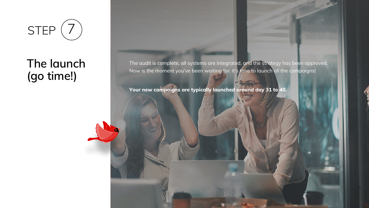

## **The launch (go time!)**

The audit is complete, all systems are integrated, and the strategy has been approved. Now is the moment you've been waiting for: it's time to launch all the campaigns!

**Your new campaigns are typically launched around day 31 to 40.**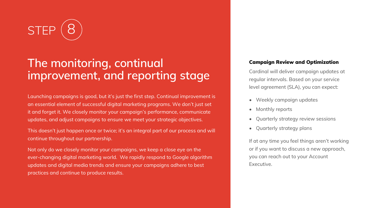

## **The monitoring, continual improvement, and reporting stage**

Launching campaigns is good, but it's just the first step. Continual improvement is an essential element of successful digital marketing programs. We don't just set it and forget it. We closely monitor your campaign's performance, communicate updates, and adjust campaigns to ensure we meet your strategic objectives.

This doesn't just happen once or twice; it's an integral part of our process and will continue throughout our partnership.

Not only do we closely monitor your campaigns, we keep a close eye on the ever-changing digital marketing world. We rapidly respond to Google algorithm updates and digital media trends and ensure your campaigns adhere to best practices and continue to produce results.

### Campaign Review and Optimization

Cardinal will deliver campaign updates at regular intervals. Based on your service level agreement (SLA), you can expect:

- Weekly campaign updates
- Monthly reports
- Quarterly strategy review sessions
- Quarterly strategy plans

If at any time you feel things aren't working or if you want to discuss a new approach, you can reach out to your Account Executive.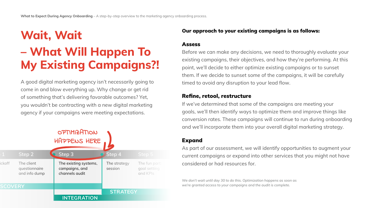## **Wait, Wait – What Will Happen To My Existing Campaigns?!**

A good digital marketing agency isn't necessarily going to come in and blow everything up. Why change or get rid of something that's delivering favorable outcomes? Yet, you wouldn't be contracting with a new digital marketing agency if your campaigns were meeting expectations.



### Our approach to your existing campaigns is as follows:

### Assess

Before we can make any decisions, we need to thoroughly evaluate your existing campaigns, their objectives, and how they're performing. At this point, we'll decide to either optimize existing campaigns or to sunset them. If we decide to sunset some of the campaigns, it will be carefully timed to avoid any disruption to your lead flow.

### Refine, retool, restructure

If we've determined that some of the campaigns are meeting your goals, we'll then identify ways to optimize them and improve things like conversion rates. These campaigns will continue to run during onboarding and we'll incorporate them into your overall digital marketing strategy.

### Expand

As part of our assessment, we will identify opportunities to augment your **Example 21** considered or had resources for. The continual

We don't wait until day 30 to do this. Optimization happens as soon as *we are then and any so to as the optimization happens as soc*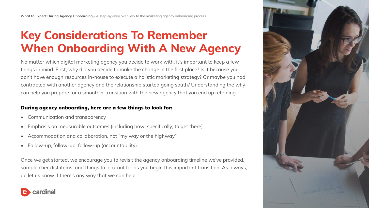**What to Expect During Agency Onboarding** – A step-by-step overview to the marketing agency onboarding process.

## **Key Considerations To Remember When Onboarding With A New Agency**

No matter which digital marketing agency you decide to work with, it's important to keep a few things in mind. First, why did you decide to make the change in the first place? Is it because you don't have enough resources in-house to execute a holistic marketing strategy? Or maybe you had contracted with another agency and the relationship started going south? Understanding the why can help you prepare for a smoother transition with the new agency that you end up retaining.

### During agency onboarding, here are a few things to look for:

- Communication and transparency
- Emphasis on measurable outcomes (including how, specifically, to get there)
- Accommodation and collaboration, not "my way or the highway"
- Follow-up, follow-up, follow-up (accountability)

Once we get started, we encourage you to revisit the agency onboarding timeline we've provided, sample checklist items, and things to look out for as you begin this important transition. As always, do let us know if there's any way that we can help.